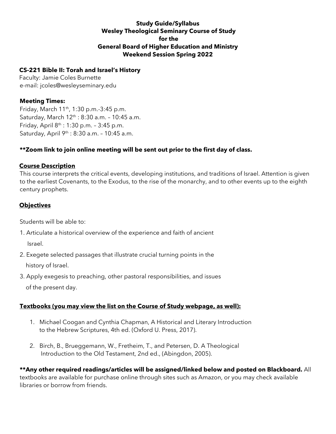#### **Study Guide/Syllabus Wesley Theological Seminary Course of Study for the General Board of Higher Education and Ministry Weekend Session Spring 2022**

### **CS-221 Bible II: Torah and Israel's History**

Faculty: Jamie Coles Burnette e-mail: jcoles@wesleyseminary.edu

## **Meeting Times:**

Friday, March 11th, 1:30 p.m.-3:45 p.m. Saturday, March 12<sup>th</sup> : 8:30 a.m. - 10:45 a.m. Friday, April 8th : 1:30 p.m. – 3:45 p.m. Saturday, April 9<sup>th</sup> : 8:30 a.m. - 10:45 a.m.

# **\*\*Zoom link to join online meeting will be sent out prior to the first day of class.**

### **Course Description**

This course interprets the critical events, developing institutions, and traditions of Israel. Attention is given to the earliest Covenants, to the Exodus, to the rise of the monarchy, and to other events up to the eighth century prophets.

# **Objectives**

Students will be able to:

1. Articulate a historical overview of the experience and faith of ancient

Israel.

- 2. Exegete selected passages that illustrate crucial turning points in the history of Israel.
- 3. Apply exegesis to preaching, other pastoral responsibilities, and issues of the present day.

# **Textbooks (you may view the list on the Course of Study webpage, as well):**

- 1. Michael Coogan and Cynthia Chapman, A Historical and Literary Introduction to the Hebrew Scriptures, 4th ed. (Oxford U. Press, 2017).
- 2. Birch, B., Brueggemann, W., Fretheim, T., and Petersen, D. A Theological Introduction to the Old Testament, 2nd ed., (Abingdon, 2005).

**\*\*Any other required readings/articles will be assigned/linked below and posted on Blackboard.** All textbooks are available for purchase online through sites such as Amazon, or you may check available libraries or borrow from friends.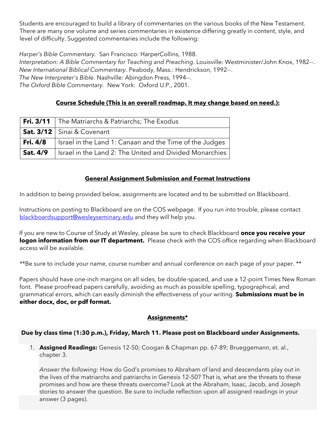Students are encouraged to build a library of commentaries on the various books of the New Testament. There are many one volume and series commentaries in existence differing greatly in content, style, and level of difficulty. Suggested commentaries include the following:

*Harper's Bible Commentary.* San Francisco: HarperCollins, 1988.

*Interpretation: A Bible Commentary for Teaching and Preaching*. Louisville: Westminister/John Knox, 1982--. *New International Biblical Commentary*. Peabody, Mass.: Hendrickson, 1992--. *The New Interpreter's Bible*. Nashville: Abingdon Press, 1994--. *The Oxford Bible Commentary.* New York: Oxford U.P., 2001.

# **Course Schedule (This is an overall roadmap. It may change based on need.):**

|                 | Fri. 3/11   The Matriarchs & Patriarchs; The Exodus       |  |  |
|-----------------|-----------------------------------------------------------|--|--|
|                 | Sat. 3/12   Sinai & Covenant                              |  |  |
| Fri. 4/8        | I Israel in the Land 1: Canaan and the Time of the Judges |  |  |
| <b>Sat. 4/9</b> | Israel in the Land 2: The United and Divided Monarchies   |  |  |

### **General Assignment Submission and Format Instructions**

In addition to being provided below, assignments are located and to be submitted on Blackboard.

Instructions on posting to Blackboard are on the COS webpage. If you run into trouble, please contact blackboardsupport@wesleyseminary.edu and they will help you.

If you are new to Course of Study at Wesley, please be sure to check Blackboard **once you receive your logon information from our IT department.** Please check with the COS office regarding when Blackboard access will be available.

\*\*Be sure to include your name, course number and annual conference on each page of your paper. \*\*

Papers should have one-inch margins on all sides, be double-spaced, and use a 12-point Times New Roman font. Please proofread papers carefully, avoiding as much as possible spelling, typographical, and grammatical errors, which can easily diminish the effectiveness of your writing. **Submissions must be in either docx, doc, or pdf format.** 

### **Assignments\***

### **Due by class time (1:30 p.m.), Friday, March 11. Please post on Blackboard under Assignments.**

1. **Assigned Readings:** Genesis 12-50; Coogan & Chapman pp. 67-89; Brueggemann, et. al., chapter 3.

*Answer the following:* How do God's promises to Abraham of land and descendants play out in the lives of the matriarchs and patriarchs in Genesis 12‐50? That is, what are the threats to these promises and how are these threats overcome? Look at the Abraham, Isaac, Jacob, and Joseph stories to answer the question. Be sure to include reflection upon all assigned readings in your answer (3 pages).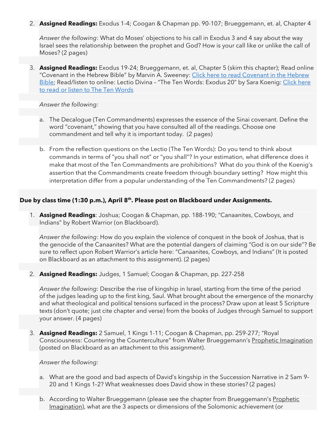2. **Assigned Readings:** Exodus 1-4; Coogan & Chapman pp. 90-107; Brueggemann, et. al, Chapter 4

*Answer the following*: What do Moses' objections to his call in Exodus 3 and 4 say about the way Israel sees the relationship between the prophet and God? How is your call like or unlike the call of Moses? (2 pages)

3. **Assigned Readings:** Exodus 19-24; Brueggemann, et. al, Chapter 5 (skim this chapter); Read online "[Covenant](https://www.bibleodyssey.org/passages/related-articles/covenant-in-the-hebrew-bible) in the Hebrew Bible" by Marvin A. Sweeney: Click here to read Covenant in the Hebrew [Bible;](https://www.bibleodyssey.org/passages/related-articles/covenant-in-the-hebrew-bible) Read/listen to online: Lectio Divina - "The Ten Words: Exodus 20" by Sara Koenig: [Click](https://lectio.spu.edu/the-ten-words/) here to read or listen to The Ten [Words](https://lectio.spu.edu/the-ten-words/)

*Answer the following:*

- a. The Decalogue (Ten Commandments) expresses the essence of the Sinai covenant. Define the word "covenant," showing that you have consulted all of the readings. Choose one commandment and tell why it is important today. (2 pages)
- b. From the reflection questions on the Lectio (The Ten Words): Do you tend to think about commands in terms of "you shall not" or "you shall"? In your estimation, what difference does it make that most of the Ten Commandments are prohibitions? What do you think of the Koenig's assertion that the Commandments create freedom through boundary setting? How might this interpretation differ from a popular understanding of the Ten Commandments? (2 pages)

#### **Due by class time (1:30 p.m.), April 8 th . Please post on Blackboard under Assignments.**

1. **Assigned Readings**: Joshua; Coogan & Chapman, pp. 188-190; "Canaanites, Cowboys, and Indians" by Robert Warrior (on Blackboard).

*Answer the following*: How do you explain the violence of conquest in the book of Joshua, that is the genocide of the Canaanites? What are the potential dangers of claiming "God is on our side"? Be sure to reflect upon Robert Warrior's article here: "Canaanites, Cowboys, and Indians" (It is posted on Blackboard as an attachment to this assignment). (2 pages)

2. **Assigned Readings:** Judges, 1 Samuel; Coogan & Chapman, pp. 227-258

*Answer the following:* Describe the rise of kingship in Israel, starting from the time of the period of the judges leading up to the first king, Saul. What brought about the emergence of the monarchy and what theological and political tensions surfaced in the process? Draw upon at least 5 Scripture texts (don't quote; just cite chapter and verse) from the books of Judges through Samuel to support your answer. (4 pages)

3. **Assigned Readings:** 2 Samuel, 1 Kings 1-11; Coogan & Chapman, pp. 259-277; "Royal Consciousness: Countering the Counterculture" from Walter Brueggemann's Prophetic Imagination (posted on Blackboard as an attachment to this assignment).

#### *Answer the following:*

- a. What are the good and bad aspects of David's kingship in the Succession Narrative in 2 Sam 9‐ 20 and 1 Kings 1‐2? What weaknesses does David show in these stories? (2 pages)
- b. According to Walter Brueggemann (please see the chapter from Brueggemann's Prophetic Imagination), what are the 3 aspects or dimensions of the Solomonic achievement (or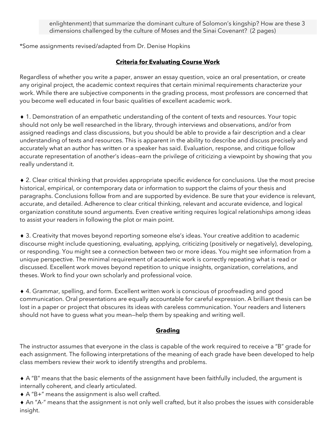enlightenment) that summarize the dominant culture of Solomon's kingship? How are these 3 dimensions challenged by the culture of Moses and the Sinai Covenant? (2 pages)

\*Some assignments revised/adapted from Dr. Denise Hopkins

# **Criteria for Evaluating Course Work**

Regardless of whether you write a paper, answer an essay question, voice an oral presentation, or create any original project, the academic context requires that certain minimal requirements characterize your work. While there are subjective components in the grading process, most professors are concerned that you become well educated in four basic qualities of excellent academic work.

 1. Demonstration of an empathetic understanding of the content of texts and resources. Your topic should not only be well researched in the library, through interviews and observations, and/or from assigned readings and class discussions, but you should be able to provide a fair description and a clear understanding of texts and resources. This is apparent in the ability to describe and discuss precisely and accurately what an author has written or a speaker has said. Evaluation, response, and critique follow accurate representation of another's ideas—earn the privilege of criticizing a viewpoint by showing that you really understand it.

 2. Clear critical thinking that provides appropriate specific evidence for conclusions. Use the most precise historical, empirical, or contemporary data or information to support the claims of your thesis and paragraphs. Conclusions follow from and are supported by evidence. Be sure that your evidence is relevant, accurate, and detailed. Adherence to clear critical thinking, relevant and accurate evidence, and logical organization constitute sound arguments. Even creative writing requires logical relationships among ideas to assist your readers in following the plot or main point.

 3. Creativity that moves beyond reporting someone else's ideas. Your creative addition to academic discourse might include questioning, evaluating, applying, criticizing (positively or negatively), developing, or responding. You might see a connection between two or more ideas. You might see information from a unique perspective. The minimal requirement of academic work is correctly repeating what is read or discussed. Excellent work moves beyond repetition to unique insights, organization, correlations, and theses. Work to find your own scholarly and professional voice.

 4. Grammar, spelling, and form. Excellent written work is conscious of proofreading and good communication. Oral presentations are equally accountable for careful expression. A brilliant thesis can be lost in a paper or project that obscures its ideas with careless communication. Your readers and listeners should not have to guess what you mean—help them by speaking and writing well.

# **Grading**

The instructor assumes that everyone in the class is capable of the work required to receive a "B" grade for each assignment. The following interpretations of the meaning of each grade have been developed to help class members review their work to identify strengths and problems.

 A "B" means that the basic elements of the assignment have been faithfully included, the argument is internally coherent, and clearly articulated.

A "B+" means the assignment is also well crafted.

 An "A-" means that the assignment is not only well crafted, but it also probes the issues with considerable insight.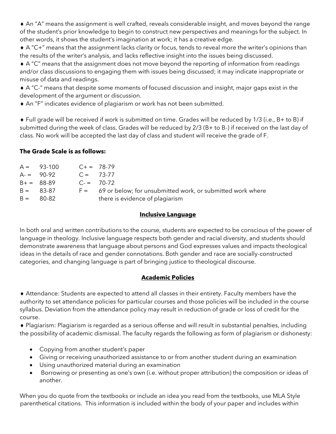An "A" means the assignment is well crafted, reveals considerable insight, and moves beyond the range of the student's prior knowledge to begin to construct new perspectives and meanings for the subject. In other words, it shows the student's imagination at work; it has a creative edge.

 A "C+" means that the assignment lacks clarity or focus, tends to reveal more the writer's opinions than the results of the writer's analysis, and lacks reflective insight into the issues being discussed.

 A "C" means that the assignment does not move beyond the reporting of information from readings and/or class discussions to engaging them with issues being discussed; it may indicate inappropriate or misuse of data and readings.

 A "C-" means that despite some moments of focused discussion and insight, major gaps exist in the development of the argument or discussion.

An "F" indicates evidence of plagiarism or work has not been submitted.

 Full grade will be received if work is submitted on time. Grades will be reduced by 1/3 (i.e., B+ to B) if submitted during the week of class. Grades will be reduced by 2/3 (B+ to B-) if received on the last day of class. No work will be accepted the last day of class and student will receive the grade of F.

# **The Grade Scale is as follows:**

| $A = 93-100$ | $C+=78-79$  |                                                                  |
|--------------|-------------|------------------------------------------------------------------|
| $A = 90-92$  | $C = 73-77$ |                                                                  |
| $B+ = 88-89$ |             | $C_{\rm{f}} = 70-72$                                             |
| $B = 83-87$  |             | $F =$ 69 or below; for unsubmitted work, or submitted work where |
| $B = 80-82$  |             | there is evidence of plagiarism                                  |
|              |             |                                                                  |

# **Inclusive Language**

In both oral and written contributions to the course, students are expected to be conscious of the power of language in theology. Inclusive language respects both gender and racial diversity, and students should demonstrate awareness that language about persons and God expresses values and impacts theological ideas in the details of race and gender connotations. Both gender and race are socially-constructed categories, and changing language is part of bringing justice to theological discourse.

# **Academic Policies**

 Attendance: Students are expected to attend all classes in their entirety. Faculty members have the authority to set attendance policies for particular courses and those policies will be included in the course syllabus. Deviation from the attendance policy may result in reduction of grade or loss of credit for the course.

 Plagiarism: Plagiarism is regarded as a serious offense and will result in substantial penalties, including the possibility of academic dismissal. The faculty regards the following as form of plagiarism or dishonesty:

- Copying from another student's paper
- Giving or receiving unauthorized assistance to or from another student during an examination
- Using unauthorized material during an examination
- Borrowing or presenting as one's own (i.e. without proper attribution) the composition or ideas of another.

When you do quote from the textbooks or include an idea you read from the textbooks, use MLA Style parenthetical citations. This information is included within the body of your paper and includes within